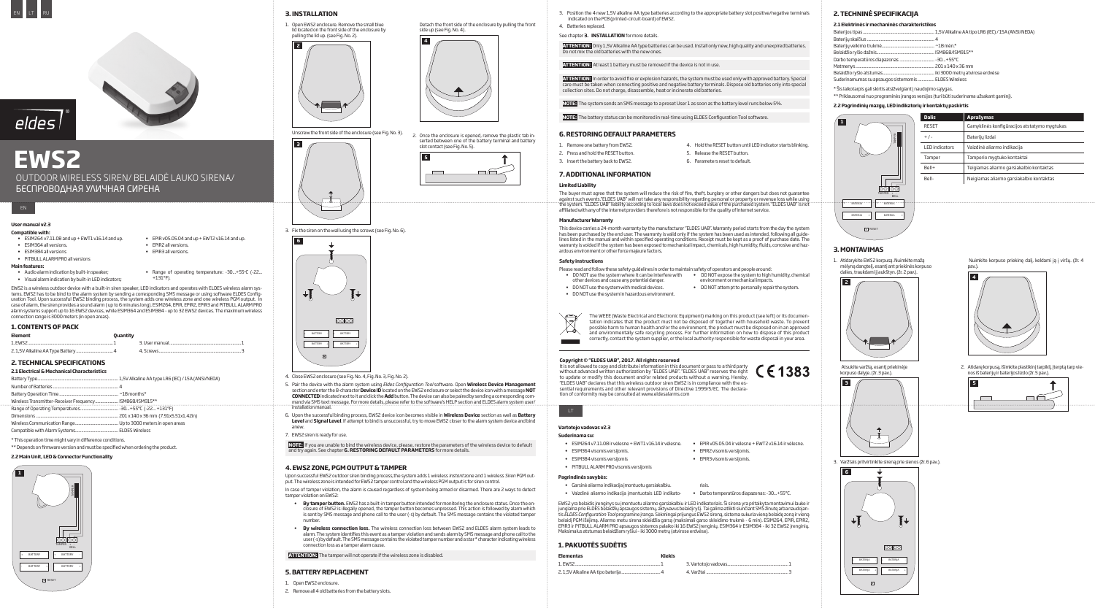# eldes **EWS2**

OUTDOOR WIRELESS SIREN/ BELAIDĖ LAUKO SIRENA/ БЕСПРОВОДНАЯ УЛИЧНАЯ СИРЕНА

# EN LT RU



## **User manual v2.3**

- **Compatible with:**
- $\bullet$  ESIM264 v7.11.08 and up + EWT1 v16.14 and up. • ESIM364allversions.
- • ESIM384allversions
- • PITBULLALARMPROallversions
- EPIR v05.05.04 and up + EWT2 v16.14 and up. • EPIR2 all versions.
- • EPIR3allversions.
- 
- - Range of operating temperature: -30...+55°C (-22... +131°F).

EWS2 is a wireless outdoor device with a built-in siren speaker, LED indicators and operates with ELDES wireless alarm systems. EWS2 has to be bind to the alarm system by sending a corresponding SMS message or using software ELDES Configuration Tool. Upon successful EWS2 binding process, the system adds one wireless zone and one wireless PGM output. In case of alarm, the siren provides a sound alarm (up to 6 minutes long). ESIM264, EPIR, EPIR2, EPIR3 and PITBULL ALARM PRO alarm systems support up to 16 EWS2 devices, while ESIM364 and ESIM384 - up to 32 EWS2 devices. The maximum wireless

connection range is 3000 meters (in open areas).

# **Main features:**

- Audio alarm indication by built-in speaker;
- Visual alarm indication by built-in LED indicators;

# **1. Contents of Pack**

| <b>Element</b>                  | Ouantity |                 |  |
|---------------------------------|----------|-----------------|--|
| 1. EWS2                         |          | 3. User manual. |  |
| 2 1 5V Alkaling AA Tyng Rattony |          | Scrouve         |  |

- • ESIM264v7.11.08irvėlesne+EWT1v16.14irvėlesne. • EPIRv05.05.04irvėlesne+EWT2v16.14irvėlesne. • ESIM364 visomis versijomis.
- • ESIM384visomisversijomis
- PITBULL ALARM PRO visomis versijomis

| Element  | <b>Quantity</b> |  |
|----------|-----------------|--|
| 1. FWS2. |                 |  |
|          |                 |  |

## **2. Technical Specifications**

- Garsinė aliarmo indikacija įmontuotu garsiakalbiu.
- • Vaizdinė aliarmo indikacija įmontuotais LED indikato-• Darbotemperatūrosdiapazonas:-30...+55ºC.

EWS2 yra belaidis įrenginys su įmontuotu aliarmo garsiakalbiu ir LEDindikatoriais. Ši sirena yra pritaikyta montavimui lauke ir jungiamaprieELDESbelaidžiųapsaugossistemų,aktyvavusbelaidįryšį. TaigalimaatliktisiunčiantSMSžinutęarbanaudojantis*ELDES Configuration Tool* programineįranga.SėkmingaiprijungusEWS2sireną, sistemasukuriavienąbelaidęzonąirvieną belaidį PGM išėjimą. Aliarmo metu sirena skleidžia garsą (maksimali garso skleidimo trukmė - 6 min). ESIM264, EPIR, EPIR2, EPIR3 ir PITBULL ALARM PRO apsaugos sistemos palaiko iki 16 EWS2 įrenginių, ESIM364 ir ESIM384 - iki 32 EWS2 įrenginių.<br>Maksimalus atstumas belaidžiam ryšiui - iki 3000 metrų (atvirose erdvėse).

#### **2.1 Electrical & Mechanical Characteristics**

#### \* This operation time might vary in difference conditions.

| Wireless Transmitter-Receiver Frequency ISM868/ISM915** |  |
|---------------------------------------------------------|--|
|                                                         |  |
|                                                         |  |
|                                                         |  |
|                                                         |  |

\*\* Depends on firmware version and must be specified when ordering the product.

**2.2 Main Unit, LED & Connector Functionality** 



## **Vartotojo vadovas v2.3**

# **Suderinama su:**

#### **Pagrindinės savybės:**

riais.

## **1. Pakuotėssudėtis**

Upon successful EWS2 outdoor siren binding process,the system adds 1 wireless *Instant* zone and 1 wireless *Siren* PGM output. The wireless zone is intended for EWS2 tamper control and the wireless PGM output is for siren control.

In case of tamper violation, the alarm is caused regardless of system being armed or disarmed. There are 2 ways to detect tamper violation on EWS2:

| <b>Elementas</b> | Kiekis |  |
|------------------|--------|--|
|                  |        |  |
|                  |        |  |



# $\sqrt{2}$

# **2. Techninė specifikacija**

## **2.1 Elektrinės ir mechaninės charakteristikos**

Baterijos tipas.................................................................... 1,5VAlkalineAAtipoLR6(IEC) /15A(ANSI/NEDA)

- **By tamper button**. EWS2 has a built-in tamper button intended for monitoring the enclosure status. Once the enclosure of EWS2 is illegally opened, the tamper button becomes unpressed. This action is followed by alarm which is sent by SMS message and phone call to the user (-s) by default. The SMS message contains the violated tamper number.
- **By wireless connection loss.** The wireless connection loss between EWS2 and ELDES alarm system leads to alarm. The system identifies this event as a tamper violation and sends alarm by SMS message and phone call to the user (-s) by default. The SMS message contains the violated tamper number and a star \* character indicating wireless connectionlossasatamperalarmcause.

| Suderinamumas su apsaugos sistemomis  ELDES Wireless |  |
|------------------------------------------------------|--|
|                                                      |  |

\* Šis laikotarpis gali skirtis atsižvelgiant į naudojimo sąlygas.

\*\*Priklausomainuoprograminės įrangosversijos (turibūti suderinamaužsakantgaminį).

## **2.2 Pagrindinių mazgų, LED indikatorių ir kontaktų paskirtis**



| <b>Aprašymas</b>                             |
|----------------------------------------------|
| Gamyklinės konfigūracijos atstatymo mygtukas |
| Baterijų lizdai                              |
| Vaizdinė aliarmo indikacija                  |
| Tamperio mygtuko kontaktai                   |
| Teigiamas aliarmo garsiakalbio kontaktas     |
| Neigiamas aliarmo garsiakalbio kontaktas     |
|                                              |

# **3. Montavimas**

1. Atidarykite EWS2 korpusą. Nuimkite mažą mėlyną dangtelį, esantį ant priekinės korpuso<br>dalies, traukdami jį aukštyn. (žr. 2 pav.).

**Limited Liability**  The buyer must agree that the system will reduce the risk of fire, theft, burglary or other dangers but does not guarantee against such events."ELDES UAB" will not take any responsibility regarding personal or property or revenue loss while using<br>the system. "ELDES UAB" liability according to local laws does not exceed value of the purchased s

indicated on the PCB (printed-circuit-board) of EWS2.

See chapter **3. INSTALLATION** for more details.



Atsukite varžtą, esantį priekinėje korpusodalyje.(žr.3pav.).



3. Varžtais pritvirtinkite sirena prie sienos (žr. 6 pav.).

 Nuimkite korpuso priekinę dalį, keldami ją į viršų. (žr. 4 pav.).



2. Atidarę korpusą, išimkite plastikinį tarpiklį, įterptą tarp vienos iš baterijų ir baterijos lizdo (žr. 5 pav.).





**3. Installation**







3. Fix the siren on the wall using the screws (see Fig. No. 6).

Please read and follow these safety guidelines in order to maintain safety of operators and people around: • DO NOT use the system where it can be interfere with • DO NOTexposethesystemtohighhumidity, chemical

- other devices and cause any potential danger.
- DO NOT use the system with medical devices.
- DONOT use the system in hazardous environment.



Unscrew the front side of the enclosure (see Fig. No. 3). 2. Once the enclosure is opened, remove the plastic tab in-<br>——————————————————— serted between one of the battery terminal and battery slot contact (see Fig. No. 5).





- 4. Close EWS2 enclosure (see Fig. No. 4, Fig. No. 3, Fig. No. 2).
- 5. Pair the device with the alarm system using *Eldes Configuration Tool* software. Open **Wireless Device Management** sectionandenter the8-character**Device ID**locatedontheEWS2enclosureorselect thedeviceiconwithamessage**NOT CONNECTED** indicated next to it and click the **Add** button. The device can also be paired by sending a corresponding command via SMS text message. For more details, please refer to the software's HELP section and ELDES alarm system user/ installationmanual.
- 6. Upon the successful binding process, EWS2 device icon becomes visible in **Wireless Device** section as well as **Battery Level** and **Signal Level**. If attempt to bind is unsuccessful, try to move EWS2 closer to the alarm system device and bind anew.
- 7. EWS2 siren is ready for use.

**NOTE:** If you are unable to bind the wireless device, please,restore the parameters of the wireless device to default and try again. See chapter**6. Restoring Default Parameters** for more details.

#### **4. EWS2 Zone, PGM Output & Tamper**

**ATTENTION:** The tamper will not operate if the wireless zone is disabled.

### **5. Battery Replacement**

- 1. Open EWS2 enclosure.
- 2. Remove all 4 old batteries from the battery slots.

Detach the front side of the enclosure by pulling the front side un (see Fig. No. 4).

# **Copyright © "ELDES UAB", 2017. All rights reserved**



3. Position the 4 new 1,5V alkaline AA type batteries according to the appropriate battery slot positive/negative terminals

ATTENTION: Only1,5V Alkaline AA type batteries can be used. Install only new, high quality and unexpired batteries.

It is not allowed to copy and distribute information in this document or pass to a third party without advanced written authorization by "ELDES UAB". "ELDES UAB" reserves the right to update or modify this document and/or related products without a warning. Hereby, "ELDES UAB" declares that this wireless outdoor siren EWS2 is in compliance with the essential requirements and other relevant provisions of Directive 1999/5/EC. The declaration of conformity may be consulted at www.eldesalarms.com



The WEEE (Waste Electrical and Electronic Equipment) marking on this product (see left) or its documentation indicates that the product must not be disposed of together with household waste. To prevent possible harm to human health and/or the environment, the product must be disposed on in an approved and environmentally safe recycling process. For further information on how to dispose of this product correctly, contact the system supplier, or the local authority responsible for waste disposal in your area.

Do not mix the old batteries with the new ones.

**ATTENTION:** At least 1 battery must be removed if the device is not in use.

ATTENTION: In order to avoid fire or explosion hazards, the system must be used only with approved battery. Special care must be taken when connecting positive and negative battery terminals. Dispose old batteries only into special collection sites. Do not charge, disassemble, heat or incinerate old batteries.

**NOTE:** The system sends an SMS message to a preset User 1 as soon as the battery level runs below 5%.

**NOTE:** The battery status can be monitored in real-time using ELDES Configuration Tool software.

4. Hold the RESET button until LED indicator starts blinking. 5. Release the RESET button.

6. Parameters reset to default.

affiliated with any of the Internet providers therefore is not responsible for the quality of Internet service.

environment or mechanical impacts.

• DONOT attem pt to personally repair the system.

 $\epsilon$  1383

• EPIR2 visomis versijomis.

• EPIR3 visomis versijomis.

**6. Restoring Default Parameters**

1. Remove one battery from EWS2. 2. Press and hold the RESET button. 3. Insert the battery back to EWS2.

**7. Additional Information** 

4. Batteries replaced.

## **Manufacturer Warranty**

This device carries a 24-month warranty by the manufacturer "ELDES UAB". Warranty period starts from the day the system has been purchased by the end user. The warranty is valid only if the system has been used as intended, following all guidelines listed in the manual and within specified operating conditions. Receipt must be kept as a proof of purchase date. The warranty is voided if the system has been exposed to mechanical impact, chemicals, high humidity,fluids, corrosive and hazardous environment or other force majeure factors.

#### **Safety instructions**